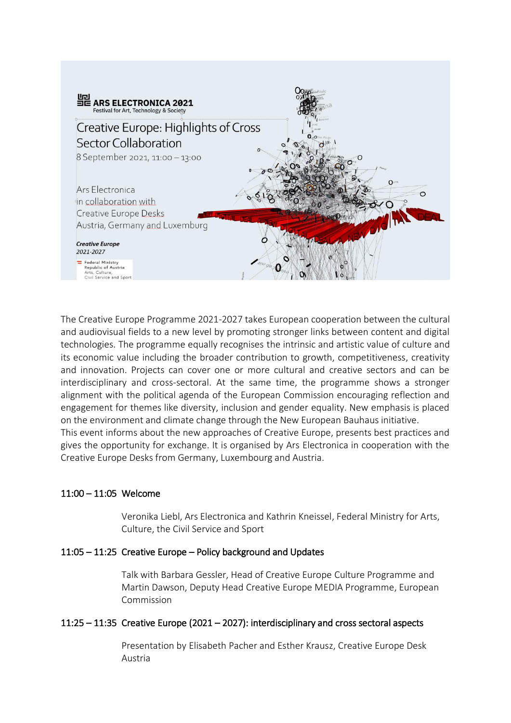

The Creative Europe Programme 2021-2027 takes European cooperation between the cultural and audiovisual fields to a new level by promoting stronger links between content and digital technologies. The programme equally recognises the intrinsic and artistic value of culture and its economic value including the broader contribution to growth, competitiveness, creativity and innovation. Projects can cover one or more cultural and creative sectors and can be interdisciplinary and cross-sectoral. At the same time, the programme shows a stronger alignment with the political agenda of the European Commission encouraging reflection and engagement for themes like diversity, inclusion and gender equality. New emphasis is placed on the environment and climate change through the New European Bauhaus initiative.

This event informs about the new approaches of Creative Europe, presents best practices and gives the opportunity for exchange. It is organised by Ars Electronica in cooperation with the Creative Europe Desks from Germany, Luxembourg and Austria.

### 11:00 – 11:05 Welcome

Veronika Liebl, Ars Electronica and Kathrin Kneissel, Federal Ministry for Arts, Culture, the Civil Service and Sport

### 11:05 – 11:25 Creative Europe – Policy background and Updates

Talk with Barbara Gessler, Head of Creative Europe Culture Programme and Martin Dawson, Deputy Head Creative Europe MEDIA Programme, European Commission

### 11:25 – 11:35 Creative Europe (2021 – 2027): interdisciplinary and cross sectoral aspects

Presentation by Elisabeth Pacher and Esther Krausz, Creative Europe Desk Austria